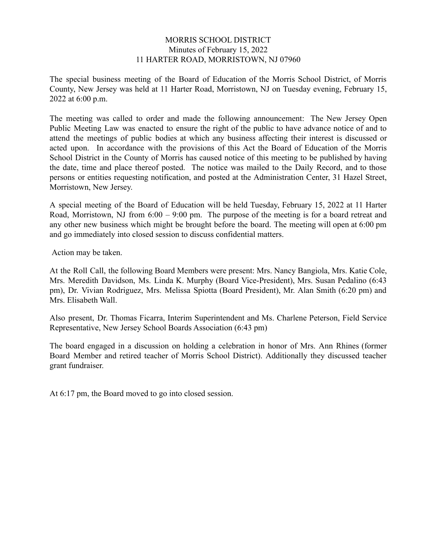### MORRIS SCHOOL DISTRICT Minutes of February 15, 2022 11 HARTER ROAD, MORRISTOWN, NJ 07960

The special business meeting of the Board of Education of the Morris School District, of Morris County, New Jersey was held at 11 Harter Road, Morristown, NJ on Tuesday evening, February 15, 2022 at 6:00 p.m.

The meeting was called to order and made the following announcement: The New Jersey Open Public Meeting Law was enacted to ensure the right of the public to have advance notice of and to attend the meetings of public bodies at which any business affecting their interest is discussed or acted upon. In accordance with the provisions of this Act the Board of Education of the Morris School District in the County of Morris has caused notice of this meeting to be published by having the date, time and place thereof posted. The notice was mailed to the Daily Record, and to those persons or entities requesting notification, and posted at the Administration Center, 31 Hazel Street, Morristown, New Jersey.

A special meeting of the Board of Education will be held Tuesday, February 15, 2022 at 11 Harter Road, Morristown, NJ from 6:00 – 9:00 pm. The purpose of the meeting is for a board retreat and any other new business which might be brought before the board. The meeting will open at 6:00 pm and go immediately into closed session to discuss confidential matters.

Action may be taken.

At the Roll Call, the following Board Members were present: Mrs. Nancy Bangiola, Mrs. Katie Cole, Mrs. Meredith Davidson, Ms. Linda K. Murphy (Board Vice-President), Mrs. Susan Pedalino (6:43 pm), Dr. Vivian Rodriguez, Mrs. Melissa Spiotta (Board President), Mr. Alan Smith (6:20 pm) and Mrs. Elisabeth Wall.

Also present, Dr. Thomas Ficarra, Interim Superintendent and Ms. Charlene Peterson, Field Service Representative, New Jersey School Boards Association (6:43 pm)

The board engaged in a discussion on holding a celebration in honor of Mrs. Ann Rhines (former Board Member and retired teacher of Morris School District). Additionally they discussed teacher grant fundraiser.

At 6:17 pm, the Board moved to go into closed session.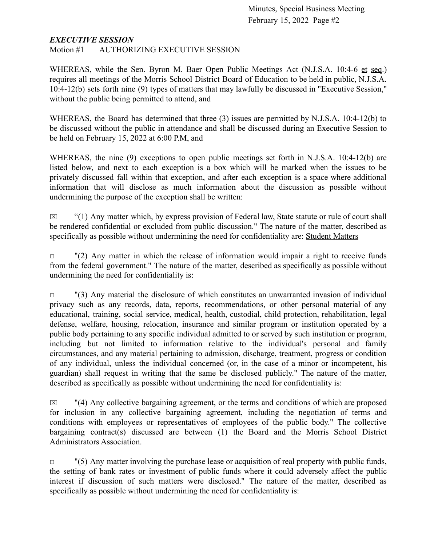### *EXECUTIVE SESSION*

Motion #1 AUTHORIZING EXECUTIVE SESSION

WHEREAS, while the Sen. Byron M. Baer Open Public Meetings Act (N.J.S.A. 10:4-6 et seq.) requires all meetings of the Morris School District Board of Education to be held in public, N.J.S.A. 10:4-12(b) sets forth nine (9) types of matters that may lawfully be discussed in "Executive Session," without the public being permitted to attend, and

WHEREAS, the Board has determined that three (3) issues are permitted by N.J.S.A. 10:4-12(b) to be discussed without the public in attendance and shall be discussed during an Executive Session to be held on February 15, 2022 at 6:00 P.M, and

WHEREAS, the nine (9) exceptions to open public meetings set forth in N.J.S.A. 10:4-12(b) are listed below, and next to each exception is a box which will be marked when the issues to be privately discussed fall within that exception, and after each exception is a space where additional information that will disclose as much information about the discussion as possible without undermining the purpose of the exception shall be written:

 $\boxtimes$  "(1) Any matter which, by express provision of Federal law, State statute or rule of court shall be rendered confidential or excluded from public discussion." The nature of the matter, described as specifically as possible without undermining the need for confidentiality are: Student Matters

 $\Box$  "(2) Any matter in which the release of information would impair a right to receive funds from the federal government." The nature of the matter, described as specifically as possible without undermining the need for confidentiality is:

 $\Box$  "(3) Any material the disclosure of which constitutes an unwarranted invasion of individual privacy such as any records, data, reports, recommendations, or other personal material of any educational, training, social service, medical, health, custodial, child protection, rehabilitation, legal defense, welfare, housing, relocation, insurance and similar program or institution operated by a public body pertaining to any specific individual admitted to or served by such institution or program, including but not limited to information relative to the individual's personal and family circumstances, and any material pertaining to admission, discharge, treatment, progress or condition of any individual, unless the individual concerned (or, in the case of a minor or incompetent, his guardian) shall request in writing that the same be disclosed publicly." The nature of the matter, described as specifically as possible without undermining the need for confidentiality is:

 $\boxtimes$  "(4) Any collective bargaining agreement, or the terms and conditions of which are proposed for inclusion in any collective bargaining agreement, including the negotiation of terms and conditions with employees or representatives of employees of the public body." The collective bargaining contract(s) discussed are between (1) the Board and the Morris School District Administrators Association.

 $\Box$  "(5) Any matter involving the purchase lease or acquisition of real property with public funds, the setting of bank rates or investment of public funds where it could adversely affect the public interest if discussion of such matters were disclosed." The nature of the matter, described as specifically as possible without undermining the need for confidentiality is: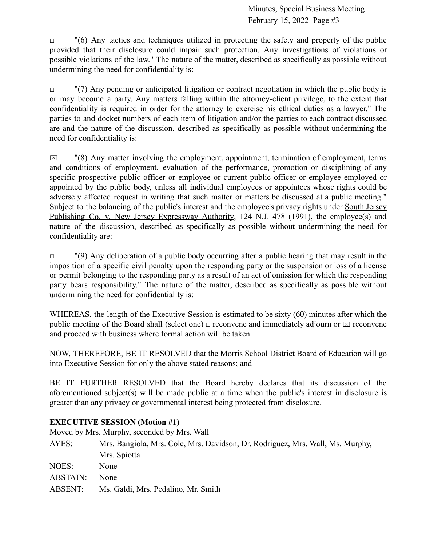$\Box$  "(6) Any tactics and techniques utilized in protecting the safety and property of the public provided that their disclosure could impair such protection. Any investigations of violations or possible violations of the law." The nature of the matter, described as specifically as possible without undermining the need for confidentiality is:

 $\Box$  "(7) Any pending or anticipated litigation or contract negotiation in which the public body is or may become a party. Any matters falling within the attorney-client privilege, to the extent that confidentiality is required in order for the attorney to exercise his ethical duties as a lawyer." The parties to and docket numbers of each item of litigation and/or the parties to each contract discussed are and the nature of the discussion, described as specifically as possible without undermining the need for confidentiality is:

 $\boxtimes$  "(8) Any matter involving the employment, appointment, termination of employment, terms and conditions of employment, evaluation of the performance, promotion or disciplining of any specific prospective public officer or employee or current public officer or employee employed or appointed by the public body, unless all individual employees or appointees whose rights could be adversely affected request in writing that such matter or matters be discussed at a public meeting." Subject to the balancing of the public's interest and the employee's privacy rights under South Jersey Publishing Co. v. New Jersey Expressway Authority, 124 N.J. 478 (1991), the employee(s) and nature of the discussion, described as specifically as possible without undermining the need for confidentiality are:

 $\Box$  "(9) Any deliberation of a public body occurring after a public hearing that may result in the imposition of a specific civil penalty upon the responding party or the suspension or loss of a license or permit belonging to the responding party as a result of an act of omission for which the responding party bears responsibility." The nature of the matter, described as specifically as possible without undermining the need for confidentiality is:

WHEREAS, the length of the Executive Session is estimated to be sixty (60) minutes after which the public meeting of the Board shall (select one)  $\Box$  reconvene and immediately adjourn or  $\Box$  reconvene and proceed with business where formal action will be taken.

NOW, THEREFORE, BE IT RESOLVED that the Morris School District Board of Education will go into Executive Session for only the above stated reasons; and

BE IT FURTHER RESOLVED that the Board hereby declares that its discussion of the aforementioned subject(s) will be made public at a time when the public's interest in disclosure is greater than any privacy or governmental interest being protected from disclosure.

# **EXECUTIVE SESSION (Motion #1)**

Moved by Mrs. Murphy, seconded by Mrs. Wall